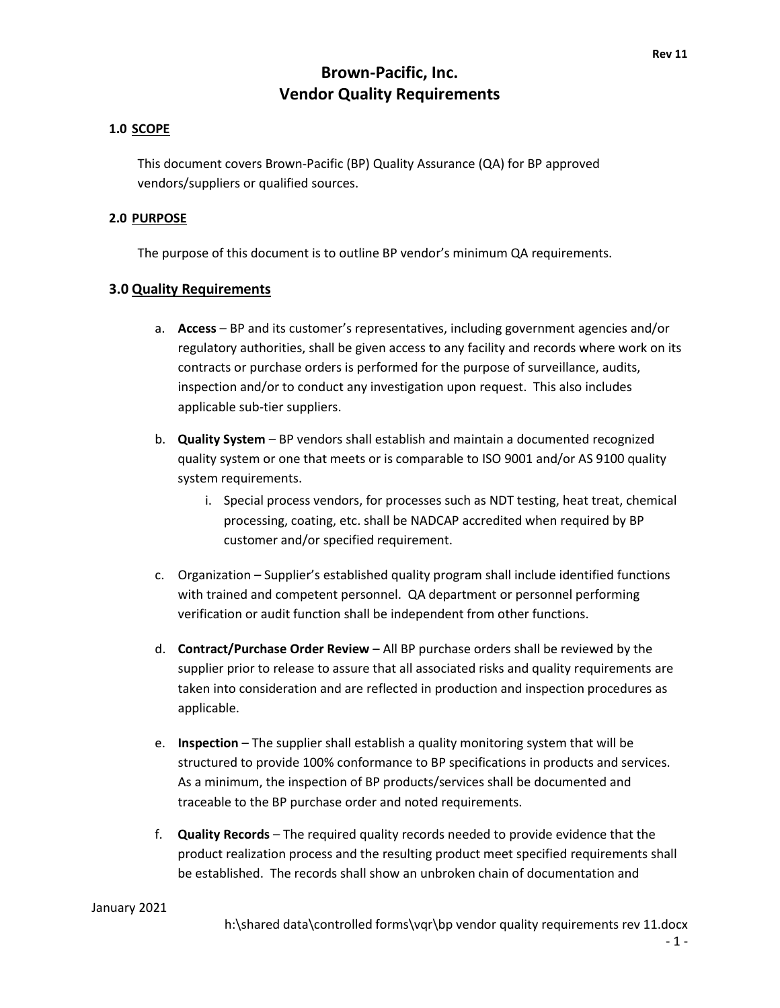#### **1.0 SCOPE**

This document covers Brown-Pacific (BP) Quality Assurance (QA) for BP approved vendors/suppliers or qualified sources.

#### **2.0 PURPOSE**

The purpose of this document is to outline BP vendor's minimum QA requirements.

#### **3.0 Quality Requirements**

- a. **Access** BP and its customer's representatives, including government agencies and/or regulatory authorities, shall be given access to any facility and records where work on its contracts or purchase orders is performed for the purpose of surveillance, audits, inspection and/or to conduct any investigation upon request. This also includes applicable sub-tier suppliers.
- b. **Quality System** BP vendors shall establish and maintain a documented recognized quality system or one that meets or is comparable to ISO 9001 and/or AS 9100 quality system requirements.
	- i. Special process vendors, for processes such as NDT testing, heat treat, chemical processing, coating, etc. shall be NADCAP accredited when required by BP customer and/or specified requirement.
- c. Organization Supplier's established quality program shall include identified functions with trained and competent personnel. QA department or personnel performing verification or audit function shall be independent from other functions.
- d. **Contract/Purchase Order Review** All BP purchase orders shall be reviewed by the supplier prior to release to assure that all associated risks and quality requirements are taken into consideration and are reflected in production and inspection procedures as applicable.
- e. **Inspection** The supplier shall establish a quality monitoring system that will be structured to provide 100% conformance to BP specifications in products and services. As a minimum, the inspection of BP products/services shall be documented and traceable to the BP purchase order and noted requirements.
- f. **Quality Records** The required quality records needed to provide evidence that the product realization process and the resulting product meet specified requirements shall be established. The records shall show an unbroken chain of documentation and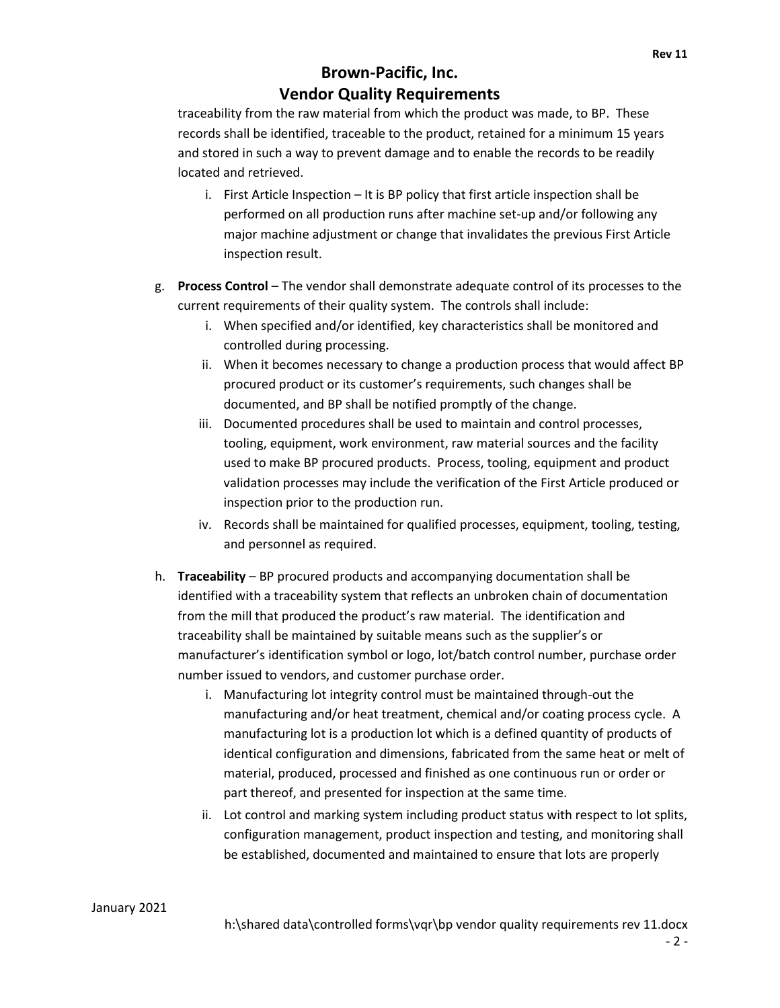traceability from the raw material from which the product was made, to BP. These records shall be identified, traceable to the product, retained for a minimum 15 years and stored in such a way to prevent damage and to enable the records to be readily located and retrieved.

- i. First Article Inspection It is BP policy that first article inspection shall be performed on all production runs after machine set-up and/or following any major machine adjustment or change that invalidates the previous First Article inspection result.
- g. **Process Control** The vendor shall demonstrate adequate control of its processes to the current requirements of their quality system. The controls shall include:
	- i. When specified and/or identified, key characteristics shall be monitored and controlled during processing.
	- ii. When it becomes necessary to change a production process that would affect BP procured product or its customer's requirements, such changes shall be documented, and BP shall be notified promptly of the change.
	- iii. Documented procedures shall be used to maintain and control processes, tooling, equipment, work environment, raw material sources and the facility used to make BP procured products. Process, tooling, equipment and product validation processes may include the verification of the First Article produced or inspection prior to the production run.
	- iv. Records shall be maintained for qualified processes, equipment, tooling, testing, and personnel as required.
- h. **Traceability** BP procured products and accompanying documentation shall be identified with a traceability system that reflects an unbroken chain of documentation from the mill that produced the product's raw material. The identification and traceability shall be maintained by suitable means such as the supplier's or manufacturer's identification symbol or logo, lot/batch control number, purchase order number issued to vendors, and customer purchase order.
	- i. Manufacturing lot integrity control must be maintained through-out the manufacturing and/or heat treatment, chemical and/or coating process cycle. A manufacturing lot is a production lot which is a defined quantity of products of identical configuration and dimensions, fabricated from the same heat or melt of material, produced, processed and finished as one continuous run or order or part thereof, and presented for inspection at the same time.
	- ii. Lot control and marking system including product status with respect to lot splits, configuration management, product inspection and testing, and monitoring shall be established, documented and maintained to ensure that lots are properly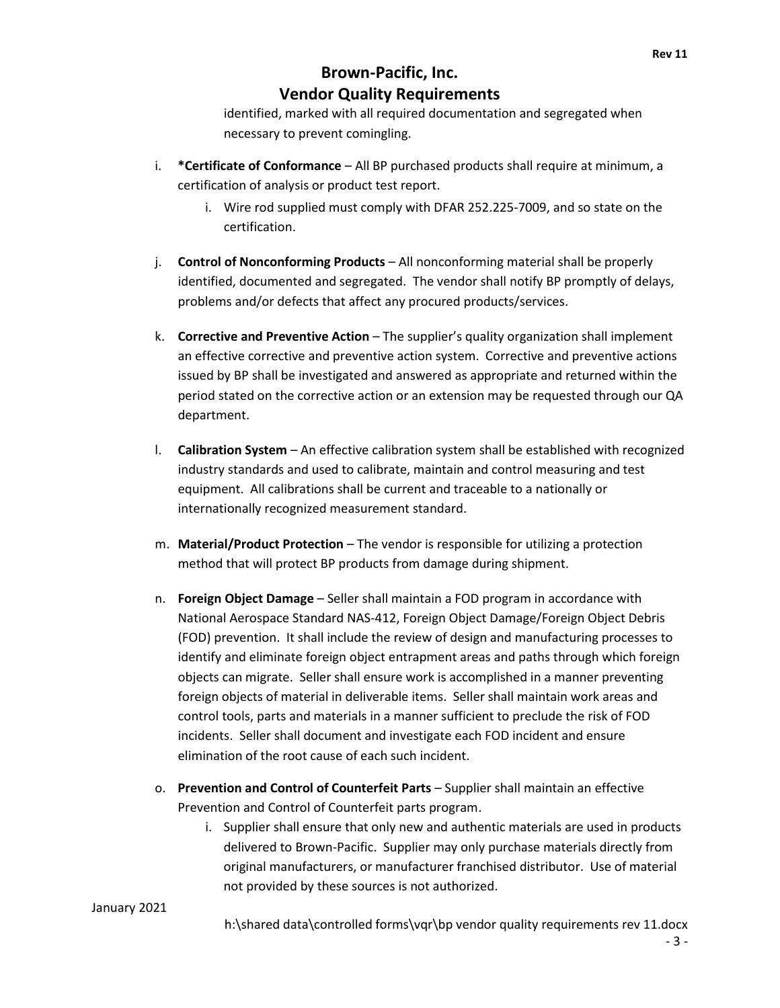identified, marked with all required documentation and segregated when necessary to prevent comingling.

- i. **\*Certificate of Conformance** All BP purchased products shall require at minimum, a certification of analysis or product test report.
	- i. Wire rod supplied must comply with DFAR 252.225-7009, and so state on the certification.
- j. **Control of Nonconforming Products** All nonconforming material shall be properly identified, documented and segregated. The vendor shall notify BP promptly of delays, problems and/or defects that affect any procured products/services.
- k. **Corrective and Preventive Action** The supplier's quality organization shall implement an effective corrective and preventive action system. Corrective and preventive actions issued by BP shall be investigated and answered as appropriate and returned within the period stated on the corrective action or an extension may be requested through our QA department.
- l. **Calibration System** An effective calibration system shall be established with recognized industry standards and used to calibrate, maintain and control measuring and test equipment. All calibrations shall be current and traceable to a nationally or internationally recognized measurement standard.
- m. **Material/Product Protection** The vendor is responsible for utilizing a protection method that will protect BP products from damage during shipment.
- n. **Foreign Object Damage** Seller shall maintain a FOD program in accordance with National Aerospace Standard NAS-412, Foreign Object Damage/Foreign Object Debris (FOD) prevention. It shall include the review of design and manufacturing processes to identify and eliminate foreign object entrapment areas and paths through which foreign objects can migrate. Seller shall ensure work is accomplished in a manner preventing foreign objects of material in deliverable items. Seller shall maintain work areas and control tools, parts and materials in a manner sufficient to preclude the risk of FOD incidents. Seller shall document and investigate each FOD incident and ensure elimination of the root cause of each such incident.
- o. **Prevention and Control of Counterfeit Parts**  Supplier shall maintain an effective Prevention and Control of Counterfeit parts program.
	- i. Supplier shall ensure that only new and authentic materials are used in products delivered to Brown-Pacific. Supplier may only purchase materials directly from original manufacturers, or manufacturer franchised distributor. Use of material not provided by these sources is not authorized.

#### January 2021

h:\shared data\controlled forms\vqr\bp vendor quality requirements rev 11.docx